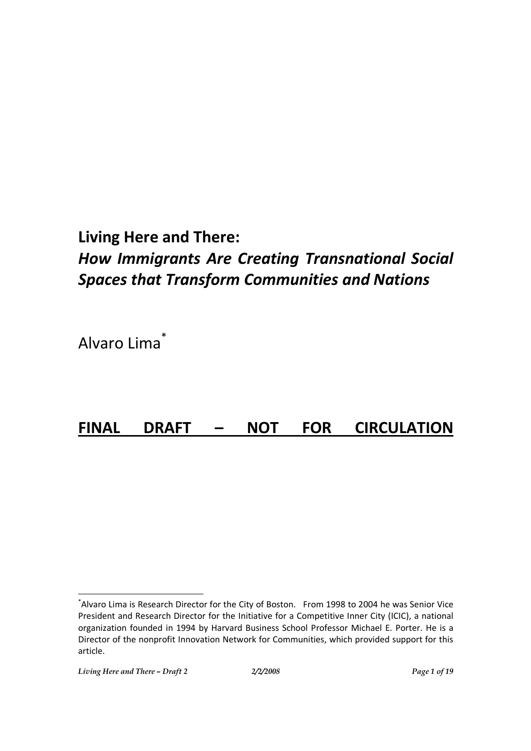## **Living Here and There:**

# *How Immigrants Are Creating Transnational Social Spaces that Transform Communities and Nations*

Alvaro Lima \*

## **FINAL DRAFT – NOT FOR CIRCULATION**

<sup>\*</sup> Alvaro Lima is Research Director for the City of Boston. From 1998 to 2004 he was Senior Vice President and Research Director for the Initiative for a Competitive Inner City (ICIC), a national organization founded in 1994 by Harvard Business School Professor Michael E. Porter. He is a Director of the nonprofit Innovation Network for Communities, which provided support for this article.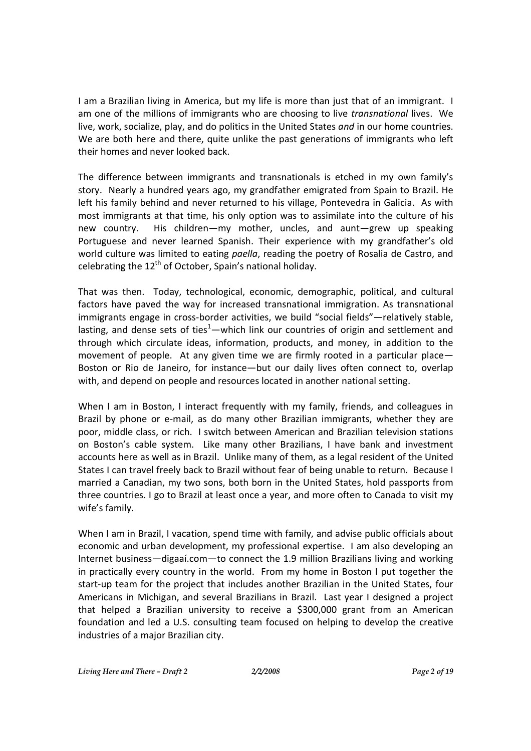I am a Brazilian living in America, but my life is more than just that of an immigrant. I am one of the millions of immigrants who are choosing to live *transnational* lives. We live, work, socialize, play, and do politics in the United States *and* in our home countries. We are both here and there, quite unlike the past generations of immigrants who left their homes and never looked back.

The difference between immigrants and transnationals is etched in my own family's story. Nearly a hundred years ago, my grandfather emigrated from Spain to Brazil. He left his family behind and never returned to his village, Pontevedra in Galicia. As with most immigrants at that time, his only option was to assimilate into the culture of his new country. His children—my mother, uncles, and aunt—grew up speaking Portuguese and never learned Spanish. Their experience with my grandfather's old world culture was limited to eating *paella*, reading the poetry of Rosalia de Castro, and celebrating the  $12<sup>th</sup>$  of October, Spain's national holiday.

That was then. Today, technological, economic, demographic, political, and cultural factors have paved the way for increased transnational immigration. As transnational immigrants engage in cross-border activities, we build "social fields"—relatively stable, lasting, and dense sets of ties<sup>1</sup>—which link our countries of origin and settlement and through which circulate ideas, information, products, and money, in addition to the movement of people. At any given time we are firmly rooted in a particular place— Boston or Rio de Janeiro, for instance—but our daily lives often connect to, overlap with, and depend on people and resources located in another national setting.

When I am in Boston, I interact frequently with my family, friends, and colleagues in Brazil by phone or e-mail, as do many other Brazilian immigrants, whether they are poor, middle class, or rich. I switch between American and Brazilian television stations on Boston's cable system. Like many other Brazilians, I have bank and investment accounts here as well as in Brazil. Unlike many of them, as a legal resident of the United States I can travel freely back to Brazil without fear of being unable to return. Because I married a Canadian, my two sons, both born in the United States, hold passports from three countries. I go to Brazil at least once a year, and more often to Canada to visit my wife's family.

When I am in Brazil, I vacation, spend time with family, and advise public officials about economic and urban development, my professional expertise. I am also developing an Internet business—digaaí.com—to connect the 1.9 million Brazilians living and working in practically every country in the world. From my home in Boston I put together the start-up team for the project that includes another Brazilian in the United States, four Americans in Michigan, and several Brazilians in Brazil. Last year I designed a project that helped a Brazilian university to receive a \$300,000 grant from an American foundation and led a U.S. consulting team focused on helping to develop the creative industries of a major Brazilian city.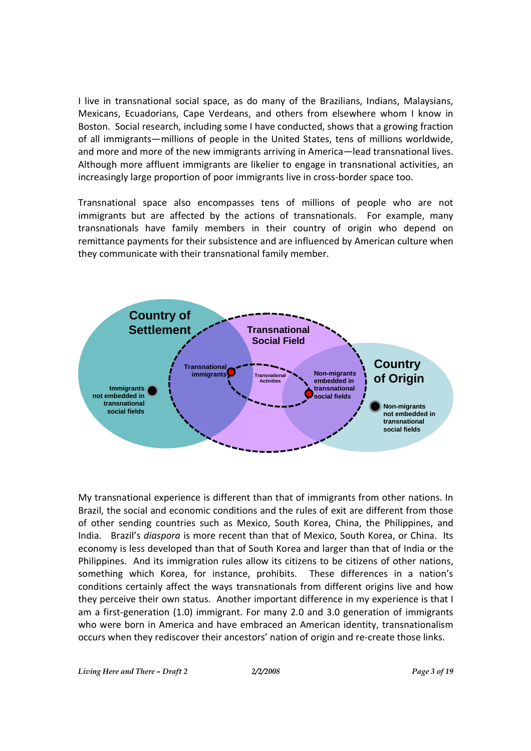I live in transnational social space, as do many of the Brazilians, Indians, Malaysians, Mexicans, Ecuadorians, Cape Verdeans, and others from elsewhere whom I know in Boston. Social research, including some I have conducted, shows that a growing fraction of all immigrants—millions of people in the United States, tens of millions worldwide, and more and more of the new immigrants arriving in America—lead transnational lives. Although more affluent immigrants are likelier to engage in transnational activities, an increasingly large proportion of poor immigrants live in cross-border space too.

Transnational space also encompasses tens of millions of people who are not immigrants but are affected by the actions of transnationals. For example, many transnationals have family members in their country of origin who depend on remittance payments for their subsistence and are influenced by American culture when they communicate with their transnational family member.



My transnational experience is different than that of immigrants from other nations. In Brazil, the social and economic conditions and the rules of exit are different from those of other sending countries such as Mexico, South Korea, China, the Philippines, and India. Brazil's *diaspora* is more recent than that of Mexico, South Korea, or China. Its economy is less developed than that of South Korea and larger than that of India or the Philippines. And its immigration rules allow its citizens to be citizens of other nations, something which Korea, for instance, prohibits. These differences in a nation's conditions certainly affect the ways transnationals from different origins live and how they perceive their own status. Another important difference in my experience is that I am a first-generation (1.0) immigrant. For many 2.0 and 3.0 generation of immigrants who were born in America and have embraced an American identity, transnationalism occurs when they rediscover their ancestors' nation of origin and re-create those links.

*Living Here and There – Draft 2 2/2/2008 Page 3 of 19*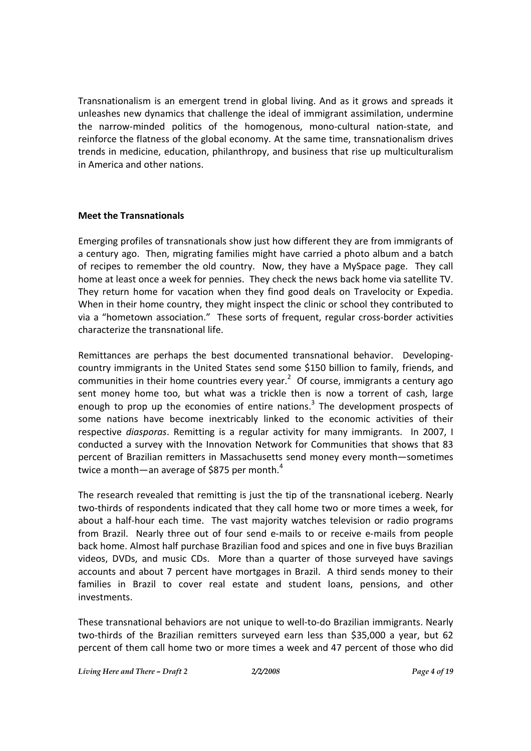Transnationalism is an emergent trend in global living. And as it grows and spreads it unleashes new dynamics that challenge the ideal of immigrant assimilation, undermine the narrow-minded politics of the homogenous, mono-cultural nation-state, and reinforce the flatness of the global economy. At the same time, transnationalism drives trends in medicine, education, philanthropy, and business that rise up multiculturalism in America and other nations.

#### **Meet the Transnationals**

Emerging profiles of transnationals show just how different they are from immigrants of a century ago. Then, migrating families might have carried a photo album and a batch of recipes to remember the old country. Now, they have a MySpace page. They call home at least once a week for pennies. They check the news back home via satellite TV. They return home for vacation when they find good deals on Travelocity or Expedia. When in their home country, they might inspect the clinic or school they contributed to via a "hometown association." These sorts of frequent, regular cross-border activities characterize the transnational life.

Remittances are perhaps the best documented transnational behavior. Developingcountry immigrants in the United States send some \$150 billion to family, friends, and communities in their home countries every year.<sup>2</sup> Of course, immigrants a century ago sent money home too, but what was a trickle then is now a torrent of cash, large enough to prop up the economies of entire nations.<sup>3</sup> The development prospects of some nations have become inextricably linked to the economic activities of their respective *diasporas*. Remitting is a regular activity for many immigrants. In 2007, I conducted a survey with the Innovation Network for Communities that shows that 83 percent of Brazilian remitters in Massachusetts send money every month—sometimes twice a month—an average of \$875 per month.<sup>4</sup>

The research revealed that remitting is just the tip of the transnational iceberg. Nearly two-thirds of respondents indicated that they call home two or more times a week, for about a half-hour each time. The vast majority watches television or radio programs from Brazil. Nearly three out of four send e-mails to or receive e-mails from people back home. Almost half purchase Brazilian food and spices and one in five buys Brazilian videos, DVDs, and music CDs. More than a quarter of those surveyed have savings accounts and about 7 percent have mortgages in Brazil. A third sends money to their families in Brazil to cover real estate and student loans, pensions, and other investments.

These transnational behaviors are not unique to well-to-do Brazilian immigrants. Nearly two-thirds of the Brazilian remitters surveyed earn less than \$35,000 a year, but 62 percent of them call home two or more times a week and 47 percent of those who did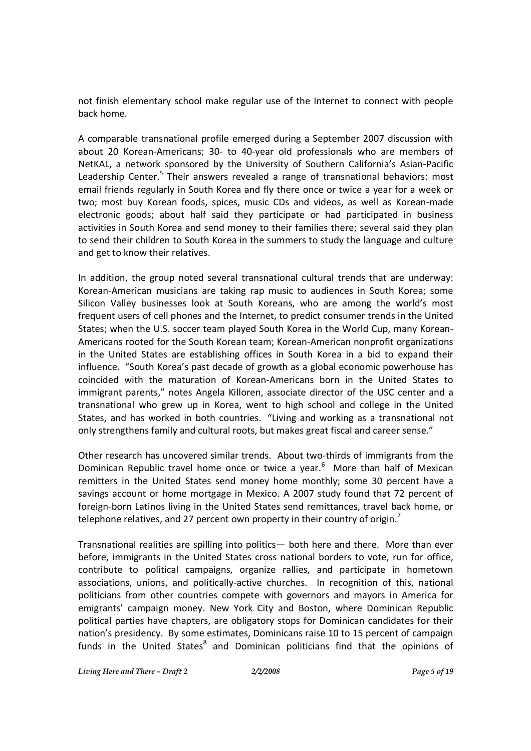not finish elementary school make regular use of the Internet to connect with people back home.

A comparable transnational profile emerged during a September 2007 discussion with about 20 Korean-Americans; 30- to 40-year old professionals who are members of NetKAL, a network sponsored by the University of Southern California's Asian-Pacific Leadership Center.<sup>5</sup> Their answers revealed a range of transnational behaviors: most email friends regularly in South Korea and fly there once or twice a year for a week or two; most buy Korean foods, spices, music CDs and videos, as well as Korean-made electronic goods; about half said they participate or had participated in business activities in South Korea and send money to their families there; several said they plan to send their children to South Korea in the summers to study the language and culture and get to know their relatives.

In addition, the group noted several transnational cultural trends that are underway: Korean-American musicians are taking rap music to audiences in South Korea; some Silicon Valley businesses look at South Koreans, who are among the world's most frequent users of cell phones and the Internet, to predict consumer trends in the United States; when the U.S. soccer team played South Korea in the World Cup, many Korean-Americans rooted for the South Korean team; Korean-American nonprofit organizations in the United States are establishing offices in South Korea in a bid to expand their influence. "South Korea's past decade of growth as a global economic powerhouse has coincided with the maturation of Korean-Americans born in the United States to immigrant parents," notes Angela Killoren, associate director of the USC center and a transnational who grew up in Korea, went to high school and college in the United States, and has worked in both countries. "Living and working as a transnational not only strengthens family and cultural roots, but makes great fiscal and career sense."

Other research has uncovered similar trends. About two-thirds of immigrants from the Dominican Republic travel home once or twice a year. $6$  More than half of Mexican remitters in the United States send money home monthly; some 30 percent have a savings account or home mortgage in Mexico. A 2007 study found that 72 percent of foreign-born Latinos living in the United States send remittances, travel back home, or telephone relatives, and 27 percent own property in their country of origin.<sup>7</sup>

Transnational realities are spilling into politics— both here and there. More than ever before, immigrants in the United States cross national borders to vote, run for office, contribute to political campaigns, organize rallies, and participate in hometown associations, unions, and politically-active churches. In recognition of this, national politicians from other countries compete with governors and mayors in America for emigrants' campaign money. New York City and Boston, where Dominican Republic political parties have chapters, are obligatory stops for Dominican candidates for their nation's presidency. By some estimates, Dominicans raise 10 to 15 percent of campaign funds in the United States<sup>8</sup> and Dominican politicians find that the opinions of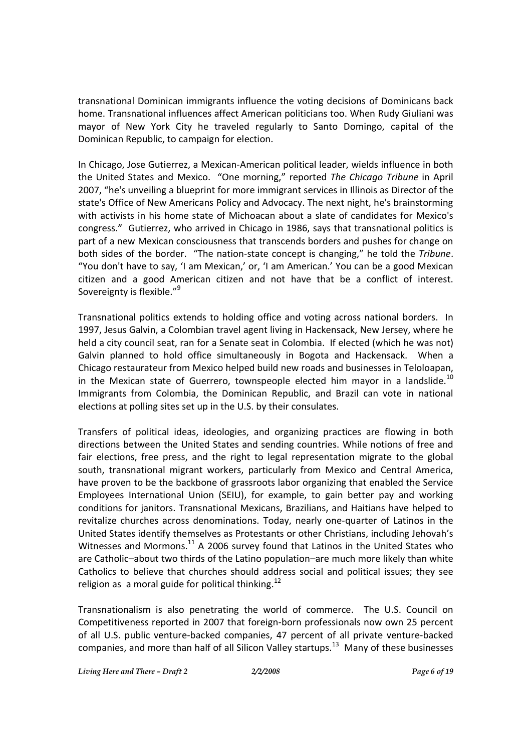transnational Dominican immigrants influence the voting decisions of Dominicans back home. Transnational influences affect American politicians too. When Rudy Giuliani was mayor of New York City he traveled regularly to Santo Domingo, capital of the Dominican Republic, to campaign for election.

In Chicago, Jose Gutierrez, a Mexican-American political leader, wields influence in both the United States and Mexico. "One morning," reported *The Chicago Tribune* in April 2007, "he's unveiling a blueprint for more immigrant services in Illinois as Director of the state's Office of New Americans Policy and Advocacy. The next night, he's brainstorming with activists in his home state of Michoacan about a slate of candidates for Mexico's congress." Gutierrez, who arrived in Chicago in 1986, says that transnational politics is part of a new Mexican consciousness that transcends borders and pushes for change on both sides of the border. "The nation-state concept is changing," he told the *Tribune*. "You don't have to say, 'I am Mexican,' or, 'I am American.' You can be a good Mexican citizen and a good American citizen and not have that be a conflict of interest. Sovereignty is flexible."<sup>9</sup>

Transnational politics extends to holding office and voting across national borders. In 1997, Jesus Galvin, a Colombian travel agent living in Hackensack, New Jersey, where he held a city council seat, ran for a Senate seat in Colombia. If elected (which he was not) Galvin planned to hold office simultaneously in Bogota and Hackensack. When a Chicago restaurateur from Mexico helped build new roads and businesses in Teloloapan, in the Mexican state of Guerrero, townspeople elected him mayor in a landslide.<sup>10</sup> Immigrants from Colombia, the Dominican Republic, and Brazil can vote in national elections at polling sites set up in the U.S. by their consulates.

Transfers of political ideas, ideologies, and organizing practices are flowing in both directions between the United States and sending countries. While notions of free and fair elections, free press, and the right to legal representation migrate to the global south, transnational migrant workers, particularly from Mexico and Central America, have proven to be the backbone of grassroots labor organizing that enabled the Service Employees International Union (SEIU), for example, to gain better pay and working conditions for janitors. Transnational Mexicans, Brazilians, and Haitians have helped to revitalize churches across denominations. Today, nearly one-quarter of Latinos in the United States identify themselves as Protestants or other Christians, including Jehovah's Witnesses and Mormons.<sup>11</sup> A 2006 survey found that Latinos in the United States who are Catholic–about two thirds of the Latino population–are much more likely than white Catholics to believe that churches should address social and political issues; they see religion as a moral guide for political thinking.<sup>12</sup>

Transnationalism is also penetrating the world of commerce. The U.S. Council on Competitiveness reported in 2007 that foreign-born professionals now own 25 percent of all U.S. public venture-backed companies, 47 percent of all private venture-backed companies, and more than half of all Silicon Valley startups.<sup>13</sup> Many of these businesses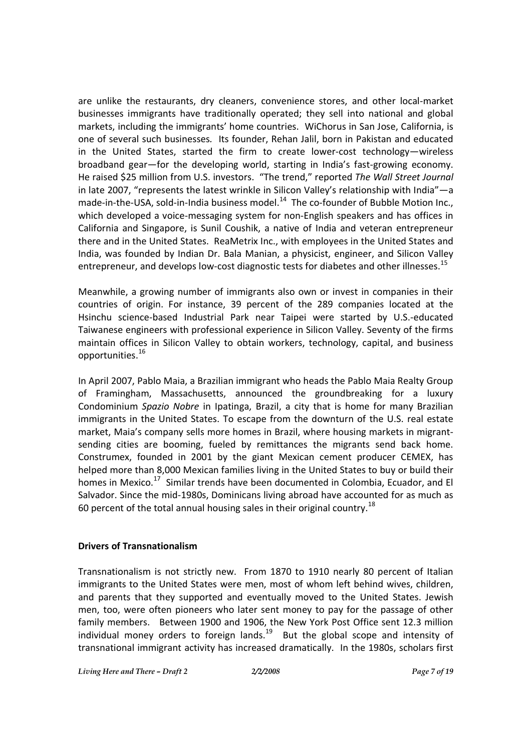are unlike the restaurants, dry cleaners, convenience stores, and other local-market businesses immigrants have traditionally operated; they sell into national and global markets, including the immigrants' home countries. WiChorus in San Jose, California, is one of several such businesses*.* Its founder, Rehan Jalil, born in Pakistan and educated in the United States, started the firm to create lower-cost technology—wireless broadband gear—for the developing world, starting in India's fast-growing economy. He raised \$25 million from U.S. investors. "The trend," reported *The Wall Street Journal* in late 2007, "represents the latest wrinkle in Silicon Valley's relationship with India"—a made-in-the-USA, sold-in-India business model.<sup>14</sup> The co-founder of Bubble Motion Inc., which developed a voice-messaging system for non-English speakers and has offices in California and Singapore, is Sunil Coushik, a native of India and veteran entrepreneur there and in the United States. ReaMetrix Inc., with employees in the United States and India, was founded by Indian Dr. Bala Manian, a physicist, engineer, and Silicon Valley entrepreneur, and develops low-cost diagnostic tests for diabetes and other illnesses.<sup>15</sup>

Meanwhile, a growing number of immigrants also own or invest in companies in their countries of origin. For instance, 39 percent of the 289 companies located at the Hsinchu science-based Industrial Park near Taipei were started by U.S.-educated Taiwanese engineers with professional experience in Silicon Valley. Seventy of the firms maintain offices in Silicon Valley to obtain workers, technology, capital, and business opportunities.<sup>16</sup>

In April 2007, Pablo Maia, a Brazilian immigrant who heads the Pablo Maia Realty Group of Framingham, Massachusetts, announced the groundbreaking for a luxury Condominium *Spazio Nobre* in Ipatinga, Brazil, a city that is home for many Brazilian immigrants in the United States. To escape from the downturn of the U.S. real estate market, Maia's company sells more homes in Brazil, where housing markets in migrantsending cities are booming, fueled by remittances the migrants send back home. Construmex, founded in 2001 by the giant Mexican cement producer CEMEX, has helped more than 8,000 Mexican families living in the United States to buy or build their homes in Mexico.<sup>17</sup> Similar trends have been documented in Colombia, Ecuador, and El Salvador. Since the mid-1980s, Dominicans living abroad have accounted for as much as 60 percent of the total annual housing sales in their original country.<sup>18</sup>

#### **Drivers of Transnationalism**

Transnationalism is not strictly new. From 1870 to 1910 nearly 80 percent of Italian immigrants to the United States were men, most of whom left behind wives, children, and parents that they supported and eventually moved to the United States. Jewish men, too, were often pioneers who later sent money to pay for the passage of other family members. Between 1900 and 1906, the New York Post Office sent 12.3 million individual money orders to foreign lands. $19$  But the global scope and intensity of transnational immigrant activity has increased dramatically. In the 1980s, scholars first

*Living Here and There – Draft 2 2/2/2008 Page 7 of 19*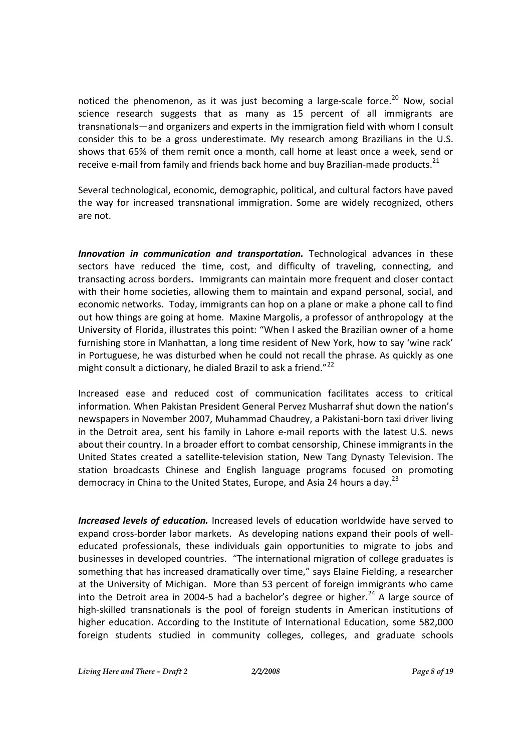noticed the phenomenon, as it was just becoming a large-scale force.<sup>20</sup> Now, social science research suggests that as many as 15 percent of all immigrants are transnationals—and organizers and experts in the immigration field with whom I consult consider this to be a gross underestimate. My research among Brazilians in the U.S. shows that 65% of them remit once a month, call home at least once a week, send or receive e-mail from family and friends back home and buy Brazilian-made products.<sup>21</sup>

Several technological, economic, demographic, political, and cultural factors have paved the way for increased transnational immigration. Some are widely recognized, others are not.

*Innovation in communication and transportation.* Technological advances in these sectors have reduced the time, cost, and difficulty of traveling, connecting, and transacting across borders**.** Immigrants can maintain more frequent and closer contact with their home societies, allowing them to maintain and expand personal, social, and economic networks. Today, immigrants can hop on a plane or make a phone call to find out how things are going at home. Maxine Margolis, a professor of anthropology at the University of Florida, illustrates this point: "When I asked the Brazilian owner of a home furnishing store in Manhattan, a long time resident of New York, how to say 'wine rack' in Portuguese, he was disturbed when he could not recall the phrase. As quickly as one might consult a dictionary, he dialed Brazil to ask a friend."<sup>22</sup>

Increased ease and reduced cost of communication facilitates access to critical information. When Pakistan President General Pervez Musharraf shut down the nation's newspapers in November 2007, Muhammad Chaudrey, a Pakistani-born taxi driver living in the Detroit area, sent his family in Lahore e-mail reports with the latest U.S. news about their country. In a broader effort to combat censorship, Chinese immigrants in the United States created a satellite-television station, New Tang Dynasty Television. The station broadcasts Chinese and English language programs focused on promoting democracy in China to the United States, Europe, and Asia 24 hours a day.<sup>23</sup>

*Increased levels of education.* Increased levels of education worldwide have served to expand cross-border labor markets. As developing nations expand their pools of welleducated professionals, these individuals gain opportunities to migrate to jobs and businesses in developed countries. "The international migration of college graduates is something that has increased dramatically over time," says Elaine Fielding, a researcher at the University of Michigan. More than 53 percent of foreign immigrants who came into the Detroit area in 2004-5 had a bachelor's degree or higher.<sup>24</sup> A large source of high-skilled transnationals is the pool of foreign students in American institutions of higher education. According to the Institute of International Education, some 582,000 foreign students studied in community colleges, colleges, and graduate schools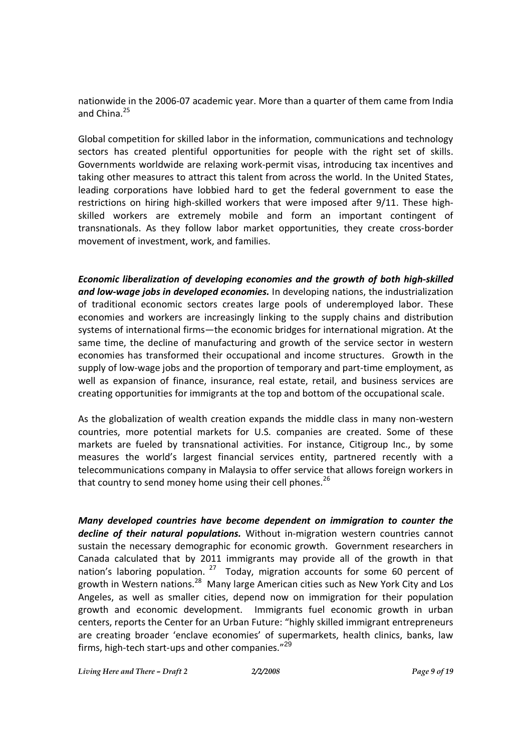nationwide in the 2006-07 academic year. More than a quarter of them came from India and China.<sup>25</sup>

Global competition for skilled labor in the information, communications and technology sectors has created plentiful opportunities for people with the right set of skills. Governments worldwide are relaxing work-permit visas, introducing tax incentives and taking other measures to attract this talent from across the world. In the United States, leading corporations have lobbied hard to get the federal government to ease the restrictions on hiring high-skilled workers that were imposed after 9/11. These highskilled workers are extremely mobile and form an important contingent of transnationals. As they follow labor market opportunities, they create cross-border movement of investment, work, and families.

*Economic liberalization of developing economies and the growth of both high-skilled and low-wage jobs in developed economies.* In developing nations, the industrialization of traditional economic sectors creates large pools of underemployed labor. These economies and workers are increasingly linking to the supply chains and distribution systems of international firms—the economic bridges for international migration. At the same time, the decline of manufacturing and growth of the service sector in western economies has transformed their occupational and income structures. Growth in the supply of low-wage jobs and the proportion of temporary and part-time employment, as well as expansion of finance, insurance, real estate, retail, and business services are creating opportunities for immigrants at the top and bottom of the occupational scale.

As the globalization of wealth creation expands the middle class in many non-western countries, more potential markets for U.S. companies are created. Some of these markets are fueled by transnational activities. For instance, Citigroup Inc., by some measures the world's largest financial services entity, partnered recently with a telecommunications company in Malaysia to offer service that allows foreign workers in that country to send money home using their cell phones.<sup>26</sup>

*Many developed countries have become dependent on immigration to counter the decline of their natural populations.* Without in-migration western countries cannot sustain the necessary demographic for economic growth. Government researchers in Canada calculated that by 2011 immigrants may provide all of the growth in that nation's laboring population. <sup>27</sup> Today, migration accounts for some 60 percent of growth in Western nations.<sup>28</sup> Many large American cities such as New York City and Los Angeles, as well as smaller cities, depend now on immigration for their population growth and economic development. Immigrants fuel economic growth in urban centers, reports the Center for an Urban Future: "highly skilled immigrant entrepreneurs are creating broader 'enclave economies' of supermarkets, health clinics, banks, law firms, high-tech start-ups and other companies."<sup>29</sup>

*Living Here and There – Draft 2 2/2/2008 Page 9 of 19*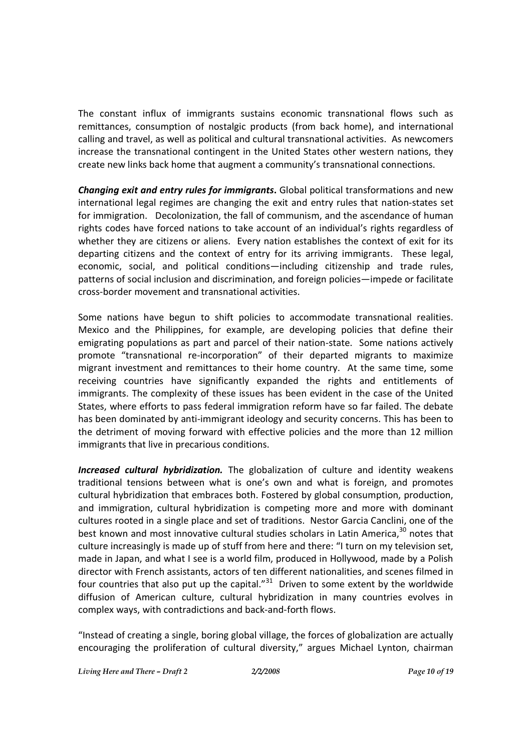The constant influx of immigrants sustains economic transnational flows such as remittances, consumption of nostalgic products (from back home), and international calling and travel, as well as political and cultural transnational activities. As newcomers increase the transnational contingent in the United States other western nations, they create new links back home that augment a community's transnational connections.

*Changing exit and entry rules for immigrants***.** Global political transformations and new international legal regimes are changing the exit and entry rules that nation-states set for immigration. Decolonization, the fall of communism, and the ascendance of human rights codes have forced nations to take account of an individual's rights regardless of whether they are citizens or aliens. Every nation establishes the context of exit for its departing citizens and the context of entry for its arriving immigrants. These legal, economic, social, and political conditions—including citizenship and trade rules, patterns of social inclusion and discrimination, and foreign policies—impede or facilitate cross-border movement and transnational activities.

Some nations have begun to shift policies to accommodate transnational realities. Mexico and the Philippines, for example, are developing policies that define their emigrating populations as part and parcel of their nation-state. Some nations actively promote "transnational re-incorporation" of their departed migrants to maximize migrant investment and remittances to their home country. At the same time, some receiving countries have significantly expanded the rights and entitlements of immigrants. The complexity of these issues has been evident in the case of the United States, where efforts to pass federal immigration reform have so far failed. The debate has been dominated by anti-immigrant ideology and security concerns. This has been to the detriment of moving forward with effective policies and the more than 12 million immigrants that live in precarious conditions.

*Increased cultural hybridization.* The globalization of culture and identity weakens traditional tensions between what is one's own and what is foreign, and promotes cultural hybridization that embraces both. Fostered by global consumption, production, and immigration, cultural hybridization is competing more and more with dominant cultures rooted in a single place and set of traditions. Nestor Garcia Canclini, one of the best known and most innovative cultural studies scholars in Latin America,<sup>30</sup> notes that culture increasingly is made up of stuff from here and there: "I turn on my television set, made in Japan, and what I see is a world film, produced in Hollywood, made by a Polish director with French assistants, actors of ten different nationalities, and scenes filmed in four countries that also put up the capital. $^{31}$  Driven to some extent by the worldwide diffusion of American culture, cultural hybridization in many countries evolves in complex ways, with contradictions and back-and-forth flows.

"Instead of creating a single, boring global village, the forces of globalization are actually encouraging the proliferation of cultural diversity," argues Michael Lynton, chairman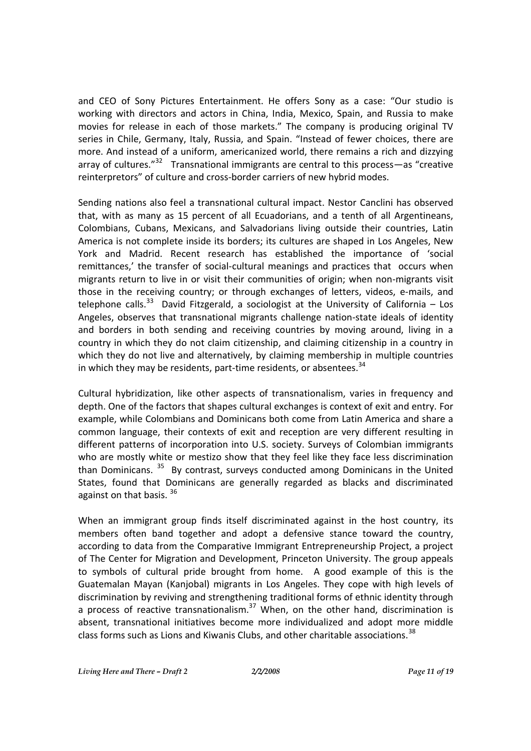and CEO of Sony Pictures Entertainment. He offers Sony as a case: "Our studio is working with directors and actors in China, India, Mexico, Spain, and Russia to make movies for release in each of those markets." The company is producing original TV series in Chile, Germany, Italy, Russia, and Spain. "Instead of fewer choices, there are more. And instead of a uniform, americanized world, there remains a rich and dizzying array of cultures."<sup>32</sup> Transnational immigrants are central to this process—as "creative reinterpretors" of culture and cross-border carriers of new hybrid modes.

Sending nations also feel a transnational cultural impact. Nestor Canclini has observed that, with as many as 15 percent of all Ecuadorians, and a tenth of all Argentineans, Colombians, Cubans, Mexicans, and Salvadorians living outside their countries, Latin America is not complete inside its borders; its cultures are shaped in Los Angeles, New York and Madrid. Recent research has established the importance of 'social remittances,' the transfer of social-cultural meanings and practices that occurs when migrants return to live in or visit their communities of origin; when non-migrants visit those in the receiving country; or through exchanges of letters, videos, e-mails, and telephone calls.<sup>33</sup> David Fitzgerald, a sociologist at the University of California – Los Angeles, observes that transnational migrants challenge nation-state ideals of identity and borders in both sending and receiving countries by moving around, living in a country in which they do not claim citizenship, and claiming citizenship in a country in which they do not live and alternatively, by claiming membership in multiple countries in which they may be residents, part-time residents, or absentees.<sup>34</sup>

Cultural hybridization, like other aspects of transnationalism, varies in frequency and depth. One of the factors that shapes cultural exchanges is context of exit and entry. For example, while Colombians and Dominicans both come from Latin America and share a common language, their contexts of exit and reception are very different resulting in different patterns of incorporation into U.S. society. Surveys of Colombian immigrants who are mostly white or mestizo show that they feel like they face less discrimination than Dominicans. <sup>35</sup> By contrast, surveys conducted among Dominicans in the United States, found that Dominicans are generally regarded as blacks and discriminated against on that basis. <sup>36</sup>

When an immigrant group finds itself discriminated against in the host country, its members often band together and adopt a defensive stance toward the country, according to data from the Comparative Immigrant Entrepreneurship Project, a project of The Center for Migration and Development, Princeton University. The group appeals to symbols of cultural pride brought from home. A good example of this is the Guatemalan Mayan (Kanjobal) migrants in Los Angeles. They cope with high levels of discrimination by reviving and strengthening traditional forms of ethnic identity through a process of reactive transnationalism.<sup>37</sup> When, on the other hand, discrimination is absent, transnational initiatives become more individualized and adopt more middle class forms such as Lions and Kiwanis Clubs, and other charitable associations.<sup>38</sup>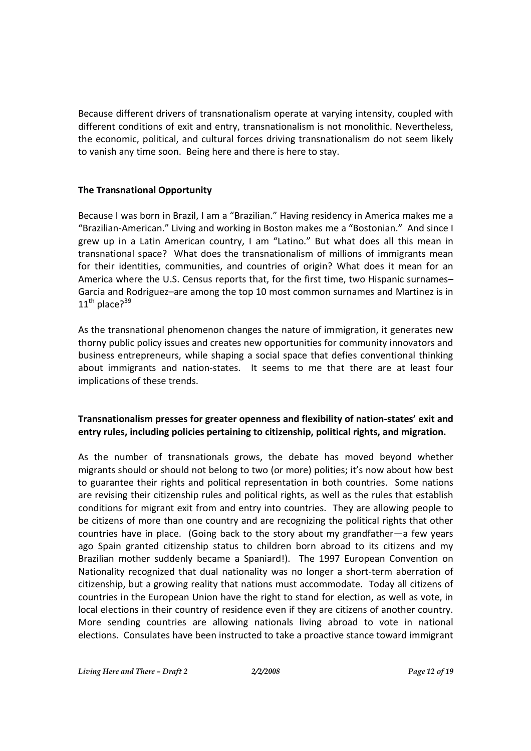Because different drivers of transnationalism operate at varying intensity, coupled with different conditions of exit and entry, transnationalism is not monolithic. Nevertheless, the economic, political, and cultural forces driving transnationalism do not seem likely to vanish any time soon. Being here and there is here to stay.

#### **The Transnational Opportunity**

Because I was born in Brazil, I am a "Brazilian." Having residency in America makes me a "Brazilian-American." Living and working in Boston makes me a "Bostonian." And since I grew up in a Latin American country, I am "Latino." But what does all this mean in transnational space? What does the transnationalism of millions of immigrants mean for their identities, communities, and countries of origin? What does it mean for an America where the U.S. Census reports that, for the first time, two Hispanic surnames– Garcia and Rodriguez–are among the top 10 most common surnames and Martinez is in  $11^{\text{th}}$  place? $39$ 

As the transnational phenomenon changes the nature of immigration, it generates new thorny public policy issues and creates new opportunities for community innovators and business entrepreneurs, while shaping a social space that defies conventional thinking about immigrants and nation-states. It seems to me that there are at least four implications of these trends.

### **Transnationalism presses for greater openness and flexibility of nation-states' exit and entry rules, including policies pertaining to citizenship, political rights, and migration.**

As the number of transnationals grows, the debate has moved beyond whether migrants should or should not belong to two (or more) polities; it's now about how best to guarantee their rights and political representation in both countries. Some nations are revising their citizenship rules and political rights, as well as the rules that establish conditions for migrant exit from and entry into countries. They are allowing people to be citizens of more than one country and are recognizing the political rights that other countries have in place. (Going back to the story about my grandfather—a few years ago Spain granted citizenship status to children born abroad to its citizens and my Brazilian mother suddenly became a Spaniard!). The 1997 European Convention on Nationality recognized that dual nationality was no longer a short-term aberration of citizenship, but a growing reality that nations must accommodate. Today all citizens of countries in the European Union have the right to stand for election, as well as vote, in local elections in their country of residence even if they are citizens of another country. More sending countries are allowing nationals living abroad to vote in national elections. Consulates have been instructed to take a proactive stance toward immigrant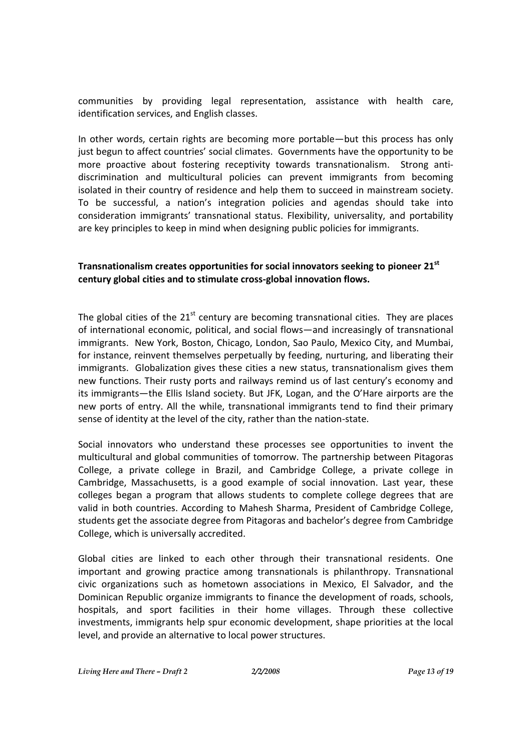communities by providing legal representation, assistance with health care, identification services, and English classes.

In other words, certain rights are becoming more portable—but this process has only just begun to affect countries' social climates. Governments have the opportunity to be more proactive about fostering receptivity towards transnationalism. Strong antidiscrimination and multicultural policies can prevent immigrants from becoming isolated in their country of residence and help them to succeed in mainstream society. To be successful, a nation's integration policies and agendas should take into consideration immigrants' transnational status. Flexibility, universality, and portability are key principles to keep in mind when designing public policies for immigrants.

#### **Transnationalism creates opportunities for social innovators seeking to pioneer 21st century global cities and to stimulate cross-global innovation flows.**

The global cities of the  $21<sup>st</sup>$  century are becoming transnational cities. They are places of international economic, political, and social flows—and increasingly of transnational immigrants. New York, Boston, Chicago, London, Sao Paulo, Mexico City, and Mumbai, for instance, reinvent themselves perpetually by feeding, nurturing, and liberating their immigrants. Globalization gives these cities a new status, transnationalism gives them new functions. Their rusty ports and railways remind us of last century's economy and its immigrants—the Ellis Island society. But JFK, Logan, and the O'Hare airports are the new ports of entry. All the while, transnational immigrants tend to find their primary sense of identity at the level of the city, rather than the nation-state.

Social innovators who understand these processes see opportunities to invent the multicultural and global communities of tomorrow. The partnership between Pitagoras College, a private college in Brazil, and Cambridge College, a private college in Cambridge, Massachusetts, is a good example of social innovation. Last year, these colleges began a program that allows students to complete college degrees that are valid in both countries. According to Mahesh Sharma, President of Cambridge College, students get the associate degree from Pitagoras and bachelor's degree from Cambridge College, which is universally accredited.

Global cities are linked to each other through their transnational residents. One important and growing practice among transnationals is philanthropy. Transnational civic organizations such as hometown associations in Mexico, El Salvador, and the Dominican Republic organize immigrants to finance the development of roads, schools, hospitals, and sport facilities in their home villages. Through these collective investments, immigrants help spur economic development, shape priorities at the local level, and provide an alternative to local power structures.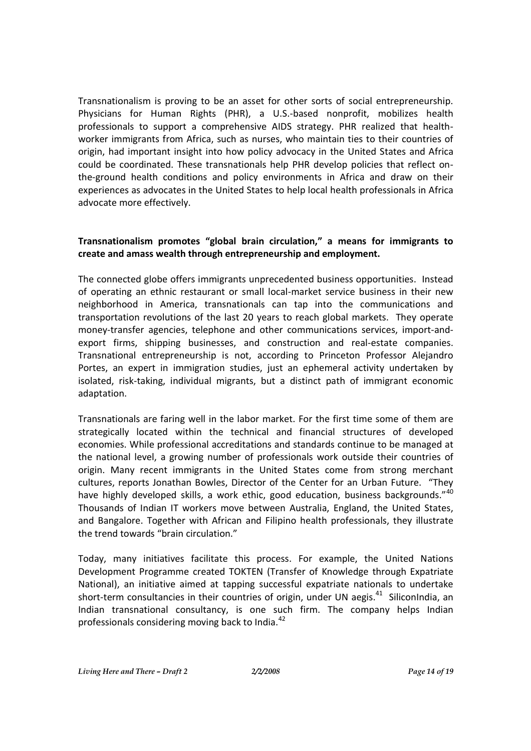Transnationalism is proving to be an asset for other sorts of social entrepreneurship. Physicians for Human Rights (PHR), a U.S.-based nonprofit, mobilizes health professionals to support a comprehensive AIDS strategy. PHR realized that healthworker immigrants from Africa, such as nurses, who maintain ties to their countries of origin, had important insight into how policy advocacy in the United States and Africa could be coordinated. These transnationals help PHR develop policies that reflect onthe-ground health conditions and policy environments in Africa and draw on their experiences as advocates in the United States to help local health professionals in Africa advocate more effectively.

#### **Transnationalism promotes "global brain circulation," a means for immigrants to create and amass wealth through entrepreneurship and employment.**

The connected globe offers immigrants unprecedented business opportunities. Instead of operating an ethnic restaurant or small local-market service business in their new neighborhood in America, transnationals can tap into the communications and transportation revolutions of the last 20 years to reach global markets. They operate money-transfer agencies, telephone and other communications services, import-andexport firms, shipping businesses, and construction and real-estate companies. Transnational entrepreneurship is not, according to Princeton Professor Alejandro Portes, an expert in immigration studies, just an ephemeral activity undertaken by isolated, risk-taking, individual migrants, but a distinct path of immigrant economic adaptation.

Transnationals are faring well in the labor market. For the first time some of them are strategically located within the technical and financial structures of developed economies. While professional accreditations and standards continue to be managed at the national level, a growing number of professionals work outside their countries of origin. Many recent immigrants in the United States come from strong merchant cultures, reports Jonathan Bowles, Director of the Center for an Urban Future. "They have highly developed skills, a work ethic, good education, business backgrounds."40 Thousands of Indian IT workers move between Australia, England, the United States, and Bangalore. Together with African and Filipino health professionals, they illustrate the trend towards "brain circulation."

Today, many initiatives facilitate this process. For example, the United Nations Development Programme created TOKTEN (Transfer of Knowledge through Expatriate National), an initiative aimed at tapping successful expatriate nationals to undertake short-term consultancies in their countries of origin, under UN aegis.<sup>41</sup> SiliconIndia, an Indian transnational consultancy, is one such firm. The company helps Indian professionals considering moving back to India.<sup>42</sup>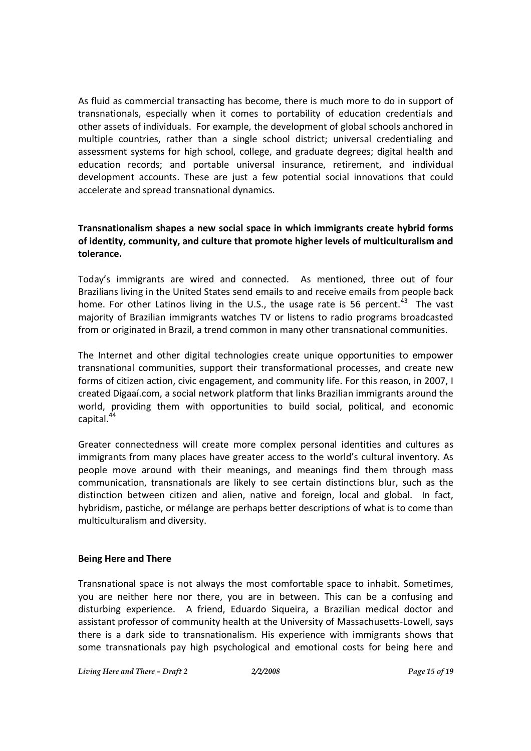As fluid as commercial transacting has become, there is much more to do in support of transnationals, especially when it comes to portability of education credentials and other assets of individuals. For example, the development of global schools anchored in multiple countries, rather than a single school district; universal credentialing and assessment systems for high school, college, and graduate degrees; digital health and education records; and portable universal insurance, retirement, and individual development accounts. These are just a few potential social innovations that could accelerate and spread transnational dynamics.

### **Transnationalism shapes a new social space in which immigrants create hybrid forms of identity, community, and culture that promote higher levels of multiculturalism and tolerance.**

Today's immigrants are wired and connected. As mentioned, three out of four Brazilians living in the United States send emails to and receive emails from people back home. For other Latinos living in the U.S., the usage rate is 56 percent.<sup>43</sup> The vast majority of Brazilian immigrants watches TV or listens to radio programs broadcasted from or originated in Brazil, a trend common in many other transnational communities.

The Internet and other digital technologies create unique opportunities to empower transnational communities, support their transformational processes, and create new forms of citizen action, civic engagement, and community life. For this reason, in 2007, I created Digaaí.com, a social network platform that links Brazilian immigrants around the world, providing them with opportunities to build social, political, and economic capital.<sup>44</sup>

Greater connectedness will create more complex personal identities and cultures as immigrants from many places have greater access to the world's cultural inventory. As people move around with their meanings, and meanings find them through mass communication, transnationals are likely to see certain distinctions blur, such as the distinction between citizen and alien, native and foreign, local and global. In fact, hybridism, pastiche, or mélange are perhaps better descriptions of what is to come than multiculturalism and diversity.

#### **Being Here and There**

Transnational space is not always the most comfortable space to inhabit. Sometimes, you are neither here nor there, you are in between. This can be a confusing and disturbing experience. A friend, Eduardo Siqueira, a Brazilian medical doctor and assistant professor of community health at the University of Massachusetts-Lowell, says there is a dark side to transnationalism. His experience with immigrants shows that some transnationals pay high psychological and emotional costs for being here and

*Living Here and There – Draft 2 2/2/2008 Page 15 of 19*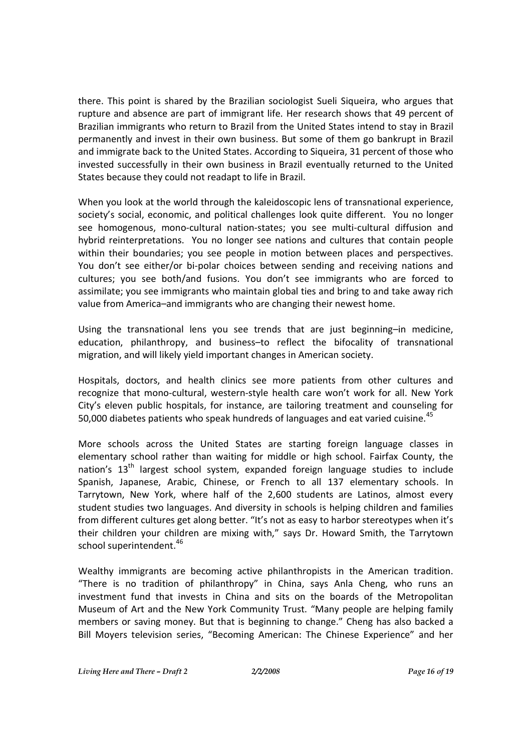there. This point is shared by the Brazilian sociologist Sueli Siqueira, who argues that rupture and absence are part of immigrant life. Her research shows that 49 percent of Brazilian immigrants who return to Brazil from the United States intend to stay in Brazil permanently and invest in their own business. But some of them go bankrupt in Brazil and immigrate back to the United States. According to Siqueira, 31 percent of those who invested successfully in their own business in Brazil eventually returned to the United States because they could not readapt to life in Brazil.

When you look at the world through the kaleidoscopic lens of transnational experience, society's social, economic, and political challenges look quite different. You no longer see homogenous, mono-cultural nation-states; you see multi-cultural diffusion and hybrid reinterpretations. You no longer see nations and cultures that contain people within their boundaries; you see people in motion between places and perspectives. You don't see either/or bi-polar choices between sending and receiving nations and cultures; you see both/and fusions. You don't see immigrants who are forced to assimilate; you see immigrants who maintain global ties and bring to and take away rich value from America–and immigrants who are changing their newest home.

Using the transnational lens you see trends that are just beginning–in medicine, education, philanthropy, and business–to reflect the bifocality of transnational migration, and will likely yield important changes in American society.

Hospitals, doctors, and health clinics see more patients from other cultures and recognize that mono-cultural, western-style health care won't work for all. New York City's eleven public hospitals, for instance, are tailoring treatment and counseling for 50,000 diabetes patients who speak hundreds of languages and eat varied cuisine.<sup>45</sup>

More schools across the United States are starting foreign language classes in elementary school rather than waiting for middle or high school. Fairfax County, the nation's  $13<sup>th</sup>$  largest school system, expanded foreign language studies to include Spanish, Japanese, Arabic, Chinese, or French to all 137 elementary schools. In Tarrytown, New York, where half of the 2,600 students are Latinos, almost every student studies two languages. And diversity in schools is helping children and families from different cultures get along better. "It's not as easy to harbor stereotypes when it's their children your children are mixing with," says Dr. Howard Smith, the Tarrytown school superintendent.<sup>46</sup>

Wealthy immigrants are becoming active philanthropists in the American tradition. "There is no tradition of philanthropy" in China, says Anla Cheng, who runs an investment fund that invests in China and sits on the boards of the Metropolitan Museum of Art and the New York Community Trust. "Many people are helping family members or saving money. But that is beginning to change." Cheng has also backed a Bill Moyers television series, "Becoming American: The Chinese Experience" and her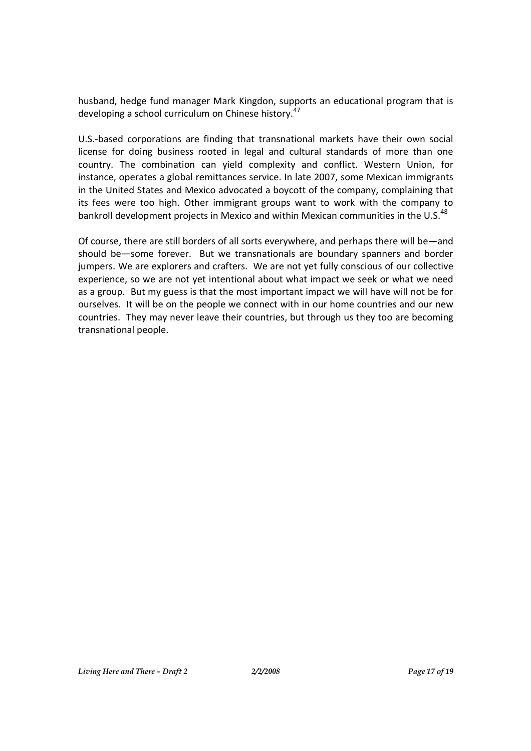husband, hedge fund manager Mark Kingdon, supports an educational program that is developing a school curriculum on Chinese history.<sup>47</sup>

U.S.-based corporations are finding that transnational markets have their own social license for doing business rooted in legal and cultural standards of more than one country. The combination can yield complexity and conflict. Western Union, for instance, operates a global remittances service. In late 2007, some Mexican immigrants in the United States and Mexico advocated a boycott of the company, complaining that its fees were too high. Other immigrant groups want to work with the company to bankroll development projects in Mexico and within Mexican communities in the U.S. $^{48}$ 

Of course, there are still borders of all sorts everywhere, and perhaps there will be—and should be—some forever. But we transnationals are boundary spanners and border jumpers. We are explorers and crafters. We are not yet fully conscious of our collective experience, so we are not yet intentional about what impact we seek or what we need as a group. But my guess is that the most important impact we will have will not be for ourselves. It will be on the people we connect with in our home countries and our new countries. They may never leave their countries, but through us they too are becoming transnational people.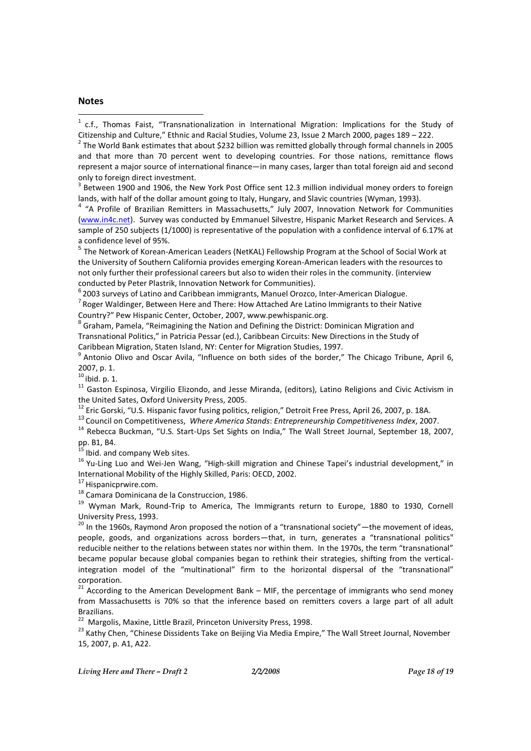#### **Notes**

 $^2$  The World Bank estimates that about \$232 billion was remitted globally through formal channels in 2005 and that more than 70 percent went to developing countries. For those nations, remittance flows represent a major source of international finance—in many cases, larger than total foreign aid and second only to foreign direct investment.

 $3$  Between 1900 and 1906, the New York Post Office sent 12.3 million individual money orders to foreign lands, with half of the dollar amount going to Italy, Hungary, and Slavic countries (Wyman, 1993).

<sup>4</sup> "A Profile of Brazilian Remitters in Massachusetts," July 2007, Innovation Network for Communities (www.in4c.net). Survey was conducted by Emmanuel Silvestre, Hispanic Market Research and Services. A sample of 250 subjects (1/1000) is representative of the population with a confidence interval of 6.17% at a confidence level of 95%.

<sup>5</sup> The Network of Korean-American Leaders (NetKAL) Fellowship Program at the School of Social Work at the University of Southern California provides emerging Korean-American leaders with the resources to not only further their professional careers but also to widen their roles in the community. (interview conducted by Peter Plastrik, Innovation Network for Communities).

 $^6$  2003 surveys of Latino and Caribbean immigrants, Manuel Orozco, Inter-American Dialogue.

<sup>7</sup> Roger Waldinger, Between Here and There: How Attached Are Latino Immigrants to their Native Country?" Pew Hispanic Center, October, 2007, www.pewhispanic.org.

 $^8$  Graham, Pamela, "Reimagining the Nation and Defining the District: Dominican Migration and Transnational Politics," in Patricia Pessar (ed.), Caribbean Circuits: New Directions in the Study of Caribbean Migration, Staten Island, NY: Center for Migration Studies, 1997.

<sup>9</sup> Antonio Olivo and Oscar Avila, "Influence on both sides of the border," The Chicago Tribune, April 6, 2007, p. 1.

 $10$  ibid. p. 1.

<sup>11</sup> Gaston Espinosa, Virgilio Elizondo, and Jesse Miranda, (editors), Latino Religions and Civic Activism in the United Sates, Oxford University Press, 2005.

<sup>12</sup> Eric Gorski, "U.S. Hispanic favor fusing politics, religion," Detroit Free Press, April 26, 2007, p. 18A.

<sup>13</sup> Council on Competitiveness, *Where America Stands*: *Entrepreneurship Competitiveness Index*, 2007.

<sup>14</sup> Rebecca Buckman, "U.S. Start-Ups Set Sights on India," The Wall Street Journal, September 18, 2007, pp. B1, B4.

<sup>5</sup> Ibid. and company Web sites.

<sup>16</sup> Yu-Ling Luo and Wei-Jen Wang, "High-skill migration and Chinese Tapei's industrial development," in International Mobility of the Highly Skilled, Paris: OECD, 2002.

 $17$  Hispanicprwire.com.

<sup>18</sup> Camara Dominicana de la Construccion, 1986.

<sup>19</sup> Wyman Mark, Round-Trip to America, The Immigrants return to Europe, 1880 to 1930, Cornell University Press, 1993.

 $20$  In the 1960s, Raymond Aron proposed the notion of a "transnational society"—the movement of ideas, people, goods, and organizations across borders—that, in turn, generates a "transnational politics" reducible neither to the relations between states nor within them. In the 1970s, the term "transnational" became popular because global companies began to rethink their strategies, shifting from the verticalintegration model of the "multinational" firm to the horizontal dispersal of the "transnational" corporation.

 $21$  According to the American Development Bank – MIF, the percentage of immigrants who send money from Massachusetts is 70% so that the inference based on remitters covers a large part of all adult Brazilians.

<sup>22</sup> Margolis, Maxine, Little Brazil, Princeton University Press, 1998.

<sup>23</sup> Kathy Chen, "Chinese Dissidents Take on Beijing Via Media Empire," The Wall Street Journal, November 15, 2007, p. A1, A22.

 $1$  c.f., Thomas Faist, "Transnationalization in International Migration: Implications for the Study of Citizenship and Culture," Ethnic and Racial Studies, Volume 23, Issue 2 March 2000, pages 189 – 222.